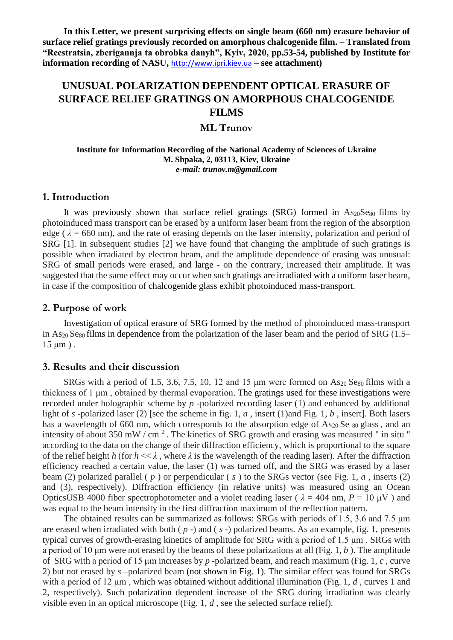**In this Letter, we present surprising effects on single beam (660 nm) erasure behavior of surface relief gratings previously recorded on amorphous chalcogenide film. – Translated from "Reestratsia, zberigannja ta obrobka danyh", Kyiv, 2020, pp.53-54, published by Institute for information recording of NASU,** [http://www.ipri.kiev.ua](http://www.ipri.kiev.ua/) **– see attachment)**

# **UNUSUAL POLARIZATION DEPENDENT OPTICAL ERASURE OF SURFACE RELIEF GRATINGS ON AMORPHOUS CHALCOGENIDE FILMS**

# **ML Trunov**

#### **Institute for Information Recording of the National Academy of Sciences of Ukraine M. Shpaka, 2, 03113, Kiev, Ukraine** *e-mail: trunov.m@gmail.com*

#### **1. Introduction**

It was previously shown that surface relief gratings  $(SRG)$  formed in  $As_{20}Se_{80}$  films by photoinduced mass transport can be erased by a uniform laser beam from the region of the absorption edge ( $\lambda$  = 660 nm), and the rate of erasing depends on the laser intensity, polarization and period of SRG [1]. In subsequent studies [2] we have found that changing the amplitude of such gratings is possible when irradiated by electron beam, and the amplitude dependence of erasing was unusual: SRG of small periods were erased, and large - on the contrary, increased their amplitude. It was suggested that the same effect may occur when such gratings are irradiated with a uniform laser beam, in case if the composition of chalcogenide glass exhibit photoinduced mass-transport.

# **2. Purpose of work**

Investigation of optical erasure of SRG formed by the method of photoinduced mass-transport in As<sub>20</sub> Se<sub>80</sub> films in dependence from the polarization of the laser beam and the period of SRG (1.5–  $15 \mu m$ ).

# **3. Results and their discussion**

SRGs with a period of 1.5, 3.6, 7.5, 10, 12 and 15  $\mu$ m were formed on As<sub>20</sub> Se<sub>80</sub> films with a thickness of 1 μm , obtained by thermal evaporation. The gratings used for these investigations were recorded under holographic scheme by *p* -polarized recording laser (1) and enhanced by additional light of *s* -polarized laser (2) [see the scheme in fig. 1, *a* , insert (1)and Fig. 1, *b* , insert]. Both lasers has a wavelength of 660 nm, which corresponds to the absorption edge of  $As_{20}$  Se  $_{80}$  glass, and an intensity of about 350 mW / cm<sup>2</sup>. The kinetics of SRG growth and erasing was measured " in situ " according to the data on the change of their diffraction efficiency, which is proportional to the square of the relief height *h* (for  $h \ll \lambda$ , where  $\lambda$  is the wavelength of the reading laser). After the diffraction efficiency reached a certain value, the laser (1) was turned off, and the SRG was erased by a laser beam (2) polarized parallel ( *p* ) or perpendicular ( *s* ) to the SRGs vector (see Fig. 1, *a* , inserts (2) and (3), respectively). Diffraction efficiency (in relative units) was measured using an Ocean OpticsUSB 4000 fiber spectrophotometer and a violet reading laser ( $\lambda = 404$  nm,  $P = 10 \mu V$ ) and was equal to the beam intensity in the first diffraction maximum of the reflection pattern.

The obtained results can be summarized as follows: SRGs with periods of 1.5, 3.6 and 7.5 μm are erased when irradiated with both ( *p* -) and ( *s* -) polarized beams. As an example, fig. 1, presents typical curves of growth-erasing kinetics of amplitude for SRG with a period of 1.5 μm . SRGs with a period of 10 μm were not erased by the beams of these polarizations at all (Fig. 1, *b* ). The amplitude of SRG with a period of 15 μm increases by *p* -polarized beam, and reach maximum (Fig. 1, *c* , curve 2) but not erased by *s* –polarized beam (not shown in Fig. 1). The similar effect was found for SRGs with a period of 12 μm , which was obtained without additional illumination (Fig. 1, *d* , curves 1 and 2, respectively). Such polarization dependent increase of the SRG during irradiation was clearly visible even in an optical microscope (Fig. 1, *d* , see the selected surface relief).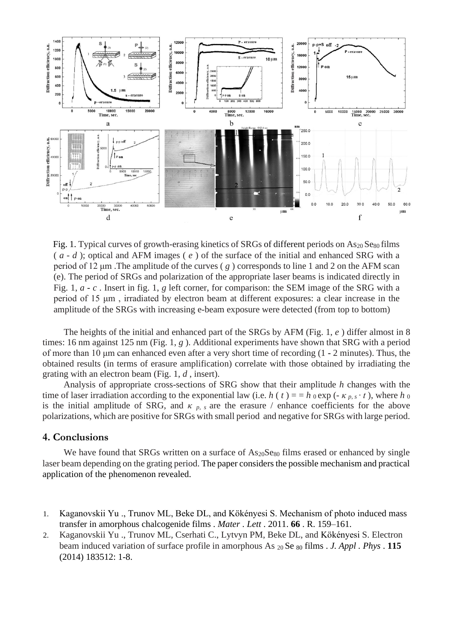

Fig. 1. Typical curves of growth-erasing kinetics of SRGs of different periods on  $As_{20}Se_{80}$  films ( *a* - *d* ); optical and AFM images ( *e* ) of the surface of the initial and enhanced SRG with a period of 12 μm .The amplitude of the curves ( *g* ) corresponds to line 1 and 2 on the AFM scan (e). The period of SRGs and polarization of the appropriate laser beams is indicated directly in Fig. 1, *a* - *c* . Insert in fig. 1, *g* left corner, for comparison: the SEM image of the SRG with a period of 15 μm , irradiated by electron beam at different exposures: a clear increase in the amplitude of the SRGs with increasing e-beam exposure were detected (from top to bottom)

The heights of the initial and enhanced part of the SRGs by AFM (Fig. 1, *e* ) differ almost in 8 times: 16 nm against 125 nm (Fig. 1, *g* ). Additional experiments have shown that SRG with a period of more than 10 μm can enhanced even after a very short time of recording (1 - 2 minutes). Thus, the obtained results (in terms of erasure amplification) correlate with those obtained by irradiating the grating with an electron beam (Fig. 1, *d* , insert).

Analysis of appropriate cross-sections of SRG show that their amplitude *h* changes with the time of laser irradiation according to the exponential law (i.e. *h* (*t*) = = *h* 0 exp (-  $\kappa$  *p*,  $\varsigma \cdot t$ ), where *h* 0 is the initial amplitude of SRG, and  $\kappa$   $_p$ ,  $_s$  are the erasure / enhance coefficients for the above polarizations, which are positive for SRGs with small period and negative for SRGs with large period.

# **4. Conclusions**

We have found that SRGs written on a surface of  $As_{20}Se_{80}$  films erased or enhanced by single laser beam depending on the grating period. The paper considers the possible mechanism and practical application of the phenomenon revealed.

- 1. Kaganovskii Yu ., Trunov ML, Beke DL, and Kökényesi S. Mechanism of photo induced mass transfer in amorphous chalcogenide films . *Mater . Lett* . 2011. **66** . R. 159–161.
- 2. Kaganovskii Yu ., Trunov ML, Cserhati C., Lytvyn PM, Beke DL, and Kökényesi S. Electron beam induced variation of surface profile in amorphous As 20 Se <sup>80</sup> films . *J. Appl . Phys* . **115**  (2014) 183512: 1-8.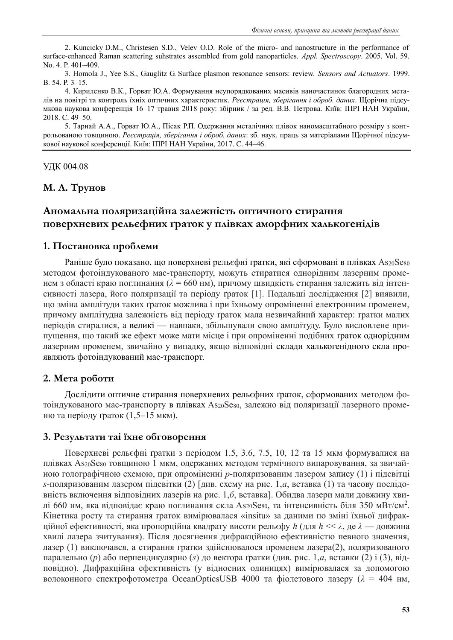2. Kuncicky D.M., Christesen S.D., Velev O.D. Role of the micro- and nanostructure in the performance of surface-enhanced Raman scattering suhstrates assembled from gold nanoparticles. *Appl. Spectroscopy*. 2005. Vol. 59. No. 4. P. 401–409.

3. Homola J., Yee S.S., Gauglitz G. Surface plasmon resonance sensors: review. *Sensors and Actuators*. 1999. B. 54. P. 3–15.

4. Кириленко В.К., Горват Ю.А. Формування неупорядкованих масивів наночастинок благородних металів на повітрі та контроль їхніх оптичних характеристик. *Реєстрація, зберігання і оброб. даних*. Щорічна підсумкова наукова конференція 16–17 травня 2018 року: збірник / за ред. В.В. Петрова. Київ: ІПРІ НАН України, 2018. С. 49–50.

5. Тарнай А.А., Горват Ю.А., Пісак Р.П. Одержання металічних плівок наномасштабного розміру з контрольованою товщиною. *Реєстрація, зберігання і оброб. даних*: зб. наук. праць за матеріалами Щорічної підсумкової наукової конференції. Київ: ІПРІ НАН України, 2017. С. 44–46.

#### УДК 004.08

**М. Л. Трунов**

# **Аномальна поляризаційна залежність оптичного стирання поверхневих рельєфних ґраток у плівках аморфних халькогенідів**

# **1. Постановка проблеми**

Раніше було показано, що поверхневі рельєфні ґратки, які сформовані в плівках As20Se80 методом фотоіндукованого мас-транспорту, можуть стиратися однорідним лазерним променем з області краю поглинання ( $\lambda = 660$  нм), причому швидкість стирання залежить від інтенсивності лазера, його поляризації та періоду ґраток [1]. Подальші дослідження [2] виявили, що зміна амплітуди таких ґраток можлива і при їхньому опроміненні електронним променем, причому амплітудна залежність від періоду ґраток мала незвичайний характер: ґратки малих періодів стиралися, а великі — навпаки, збільшували свою амплітуду. Було висловлене припущення, що такий же ефект може мати місце і при опроміненні подібних ґраток однорідним лазерним променем, звичайно у випадку, якщо відповідні склади халькогенідного скла проявляють фотоіндукований мас-транспорт.

# **2. Мета роботи**

Дослідити оптичне стирання поверхневих рельєфних ґраток, сформованих методом фотоіндукованого мас-транспорту в плівках As20Se80, залежно від поляризації лазерного променю та періоду ґраток (1,5–15 мкм).

# **3. Результати таі їхнє обговорення**

Поверхневі рельєфні ґратки з періодом 1.5, 3.6, 7.5, 10, 12 та 15 мкм формувалися на плівках As20Se80 товщиною 1 мкм, одержаних методом термічного випаровування, за звичайною голографічною схемою, при опроміненні *p*-поляризованим лазером запису (1) і підсвітці *s*-поляризованим лазером підсвітки (2) [див. схему на рис. 1,*а*, вставка (1) та часову послідовність включення відповідних лазерів на рис. 1,*б*, вставка]. Обидва лазери мали довжину хвилі 660 нм, яка відповідає краю поглинання скла As20Se80, та інтенсивність біля 350 мВт/см<sup>2</sup>. Кінетика росту та стирання ґраток вимірювалася «insitu» за даними по зміні їхньої дифракційної ефективності, яка пропорційна квадрату висоти рельєфу *h* (для *h* << *λ*, де *λ* — довжина хвилі лазера зчитування). Після досягнення дифракційною ефективністю певного значення, лазер (1) виключався, а стирання гратки здійснювалося променем лазера(2), поляризованого паралельно (*p*) або перпендикулярно (*s*) до вектора ґратки (див. рис. 1,*а*, вставки (2) і (3), відповідно). Дифракційна ефективність (у відносних одиницях) вимірювалася за допомогою волоконного спектрофотометра ОceanOpticsUSB 4000 та фіолетового лазеру (*λ* = 404 нм,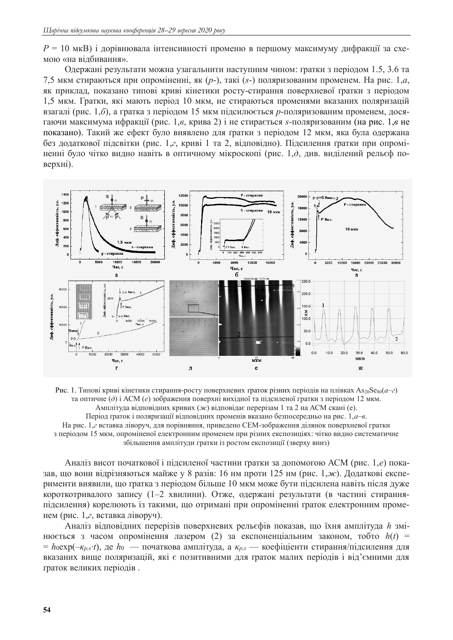*P* = 10 мкВ) і дорівнювала інтенсивності променю в першому максимуму дифракції за схемою «на відбивання».

Одержані результати можна узагальнити наступним чином: ґратки з періодом 1.5, 3.6 та 7,5 мкм стираються при опроміненні, як (*p*-), такі (*s*-) поляризованим променем. На рис. 1,*а*, як приклад, показано типові криві кінетики росту-стирання поверхневої ґратки з періодом 1,5 мкм. Гратки, які мають період 10 мкм, не стираються променями вказаних поляризацій взагалі (рис. 1,*б*), а гратка з періодом 15 мкм підсилюється *p*-поляризованим променем, досягаючи максимума ифракції (рис. 1,*в*, крива 2) і не стирається *s*-поляризованим (на рис. 1,*в* не показано). Такий же ефект було виявлено для ґратки з періодом 12 мкм, яка була одержана без додаткової підсвітки (рис. 1,*г*, криві 1 та 2, відповідно). Підсилення ґратки при опроміненні було чітко видно навіть в оптичному мікроскопі (рис. 1,*д*, див. виділений рельєф поверхні).



Рис. 1. Типові криві кінетики стирання-росту поверхневих ґраток різних періодів на плівках As<sub>20</sub>Se<sub>80</sub>(*a–г*) та оптичне (*д*) і АСМ (*е*) зображення поверхні вихідної та підсиленої гратки з періодом 12 мкм. Амплітуда відповідних кривих (*ж*) відповідає перерізам 1 та 2 на АСМ скані (е). Період ґраток і поляризації відповідних променів вказано безпосередньо на рис. 1,*а*–*в*. На рис. 1,*г* вставка ліворуч, для порівняння, приведено СЕМ-зображення ділянок поверхневої гратки з періодом 15 мкм, опроміненої електронним променем при різних експозиціях: чітко видно систематичне збільшення амплітуди гратки із ростом експозиції (зверху вниз)

Аналіз висот початкової і підсиленої частини ґратки за допомогою АСМ (рис. 1,*е*) показав, що вони відрізняються майже у 8 разів: 16 нм проти 125 нм (рис. 1,*ж*). Додаткові експерименти виявили, що ґратка з періодом більше 10 мкм може бути підсилена навіть після дуже короткотривалого запису (1–2 хвилини). Отже, одержані результати (в частині стиранняпідсилення) корелюють із такими, що отримані при опроміненні ґраток електронним променем (рис. 1,*г*, вставка ліворуч).

Аналіз відповідних перерізів поверхневих рельєфів показав, що їхня амплітуда *h* змінюється з часом опромінення лазером (2) за експоненціальним законом, тобто *h*(*t*) =  $=$  *h*<sub>0</sub>exp( $-\kappa$ *p*,*s*<sup>*t*</sup>), де *h*<sup>0</sup> — початкова амплітуда, а  $\kappa$ *p*,*s* — коефіціенти стирання/підсилення для вказаних вище поляризацій, які є позитивними для ґраток малих періодів і від'ємними для ґраток великих періодів .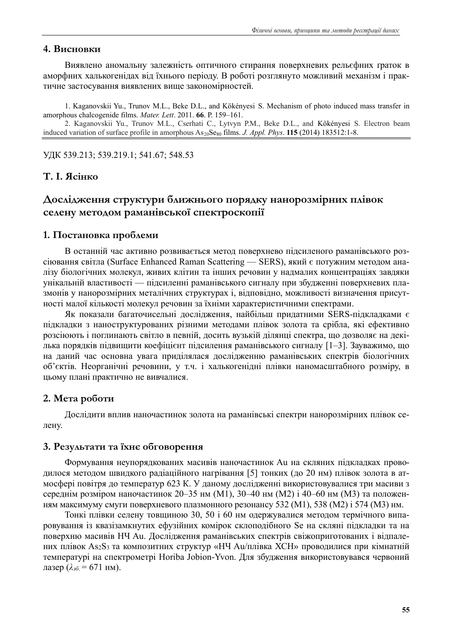# **4. Висновки**

Виявлено аномальну залежність оптичного стирання поверхневих рельєфних ґраток в аморфних халькогенідах від їхнього періоду. В роботі розглянуто можливий механізм і практичне застосування виявлених вище закономірностей.

1. Kaganovskii Yu., Trunov M.L., Beke D.L., and Kökényesi S. Mechanism of photo induced mass transfer in amorphous chalcogenide films. *Mater. Lett*. 2011. **66**. Р. 159–161.

2. Kaganovskii Yu., Trunov M.L., Cserhati C., Lytvyn P.M., Beke D.L., and Kökényesi S. Electron beam induced variation of surface profile in amorphous  $As_{20}Se_{80}$  films. *J. Appl. Phys.* **115** (2014) 183512:1-8.

УДК 539.213; 539.219.1; 541.67; 548.53

# **Т. І. Ясінко**

# **Дослідження структури ближнього порядку нанорозмірних плівок селену методом раманівської спектроскопії**

## **1. Постановка проблеми**

В останній час активно розвивається метод поверхнево підсиленого раманівського розсіювання світла (Surface Enhanced Raman Scattering — SERS), який є потужним методом аналізу біологічних молекул, живих клітин та інших речовин у надмалих концентраціях завдяки унікальній властивості — підсиленні раманівського сигналу при збудженні поверхневих плазмонів у нанорозмірних металічних структурах і, відповідно, можливості визначення присутності малої кількості молекул речовин за їхніми характеристичними спектрами.

Як показали багаточисельні дослідження, найбільш придатними SERS-підкладками є підкладки з наноструктурованих різними методами плівок золота та срібла, які ефективно розсіюють і поглинають світло в певній, досить вузькій ділянці спектра, що дозволяє на декілька порядків підвищити коефіцієнт підсилення раманівського сигналу [1–3]. Зауважимо, що на даний час основна увага приділялася дослідженню раманівських спектрів біологічних об'єктів. Неорганічні речовини, у т.ч. і халькогенідні плівки наномасштабного розміру, в цьому плані практично не вивчалися.

## **2. Мета роботи**

Дослідити вплив наночастинок золота на раманівські спектри нанорозмірних плівок селену.

# **3. Результати та їхнє обговорення**

Формування неупорядкованих масивів наночастинок Au на скляних підкладках проводилося методом швидкого радіаційного нагрівання [5] тонких (до 20 нм) плівок золота в атмосфері повітря до температур 623 К. У даному дослідженні використовувалися три масиви з середнім розміром наночастинок 20–35 нм (М1), 30–40 нм (М2) і 40–60 нм (М3) та положенням максимуму смуги поверхневого плазмонного резонансу 532 (М1), 538 (М2) і 574 (М3) нм.

Тонкі плівки селену товщиною 30, 50 і 60 нм одержувалися методом термічного випаровування із квазізамкнутих ефузійних комірок склоподібного Se на скляні підкладки та на поверхню масивів НЧ Au. Дослідження раманівських спектрів свіжоприготованих і відпалених плівок As2S<sup>3</sup> та композитних структур «НЧ Au/плівка ХСН» проводилися при кімнатній температурі на спектрометрі Horiba Jobion-Yvon. Для збудження використовувався червоний лазер (*λзб*. = 671 нм).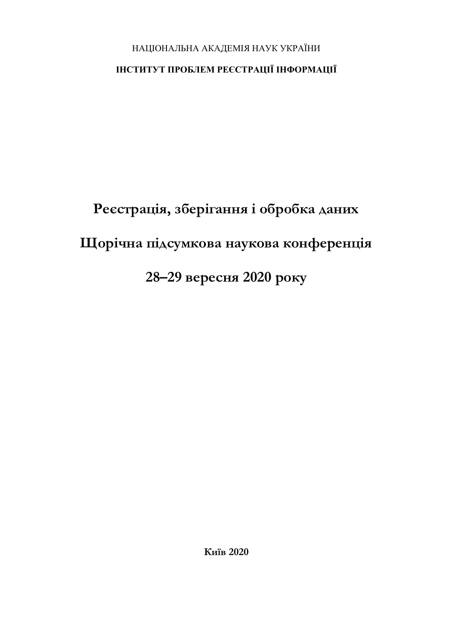# НАЦІОНАЛЬНА АКАДЕМІЯ НАУК УКРАЇНИ

# **ІНСТИТУТ ПРОБЛЕМ РЕЄСТРАЦІЇ ІНФОРМАЦІЇ**

# **Реєстрація, зберігання і обробка даних Щорічна підсумкова наукова конференція 28–29 вересня 2020 року**

**Київ 2020**